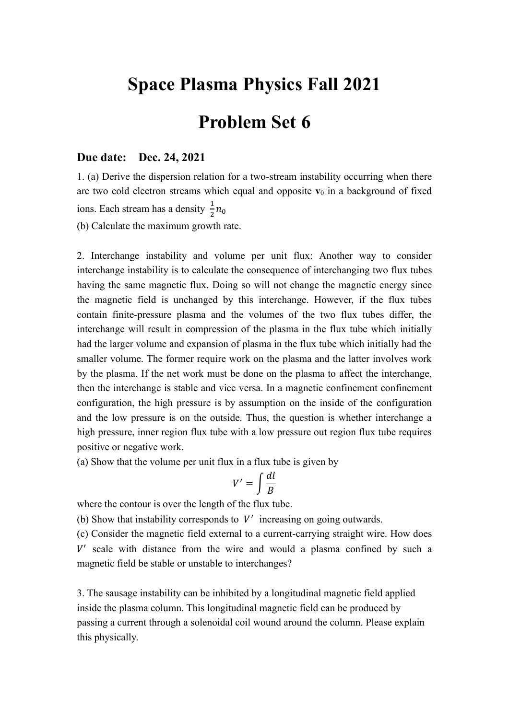## **Space Plasma Physics Fall 2021**

## **Problem Set 6**

## **Due date: Dec. 24, 2021**

1. (a) Derive the dispersion relation for a two-stream instability occurring when there are two cold electron streams which equal and opposite  $\mathbf{v}_0$  in a background of fixed ions. Each stream has a density  $\frac{1}{2}n_0$ 

(b) Calculate the maximum growth rate.

2. Interchange instability and volume per unit flux: Another way to consider interchange instability is to calculate the consequence of interchanging two flux tubes having the same magnetic flux. Doing so will not change the magnetic energy since the magnetic field is unchanged by this interchange. However, if the flux tubes contain finite-pressure plasma and the volumes of the two flux tubes differ, the interchange will result in compression of the plasma in the flux tube which initially had the larger volume and expansion of plasma in the flux tube which initially had the smaller volume. The former require work on the plasma and the latter involves work by the plasma. If the net work must be done on the plasma to affect the interchange, then the interchange is stable and vice versa. In a magnetic confinement confinement configuration, the high pressure is by assumption on the inside of the configuration and the low pressure is on the outside. Thus, the question is whether interchange a high pressure, inner region flux tube with a low pressure out region flux tube requires positive or negative work.

(a) Show that the volume per unit flux in a flux tube is given by

$$
V' = \int \frac{dl}{B}
$$

where the contour is over the length of the flux tube.

(b) Show that instability corresponds to  $V'$  increasing on going outwards.

(c) Consider the magnetic field external to a current-carrying straight wire. How does V' scale with distance from the wire and would a plasma confined by such a magnetic field be stable or unstable to interchanges?

3. The sausage instability can be inhibited by a longitudinal magnetic field applied inside the plasma column. This longitudinal magnetic field can be produced by passing a current through a solenoidal coil wound around the column. Please explain this physically.